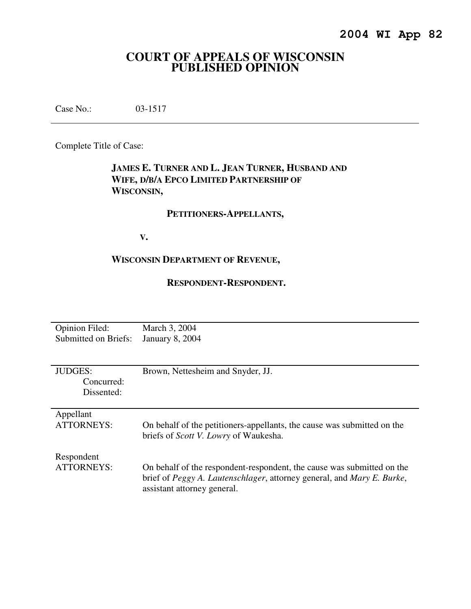# **COURT OF APPEALS OF WISCONSIN PUBLISHED OPINION**

Case No.: 03-1517

Complete Title of Case:

## **JAMES E. TURNER AND L. JEAN TURNER, HUSBAND AND WIFE, D/B/A EPCO LIMITED PARTNERSHIP OF WISCONSIN,**

## **PETITIONERS-APPELLANTS,**

 **V.** 

## **WISCONSIN DEPARTMENT OF REVENUE,**

## **RESPONDENT-RESPONDENT.**

| <b>Opinion Filed:</b>                      | March 3, 2004                                                                                                                                                                                   |
|--------------------------------------------|-------------------------------------------------------------------------------------------------------------------------------------------------------------------------------------------------|
| Submitted on Briefs:                       | <b>January 8, 2004</b>                                                                                                                                                                          |
| <b>JUDGES:</b><br>Concurred:<br>Dissented: | Brown, Nettesheim and Snyder, JJ.                                                                                                                                                               |
| Appellant                                  | On behalf of the petitioners-appellants, the cause was submitted on the                                                                                                                         |
| <b>ATTORNEYS:</b>                          | briefs of <i>Scott V. Lowry</i> of Waukesha.                                                                                                                                                    |
| Respondent<br>ATTORNEYS:                   | On behalf of the respondent-respondent, the cause was submitted on the<br>brief of <i>Peggy A. Lautenschlager</i> , attorney general, and <i>Mary E. Burke</i> ,<br>assistant attorney general. |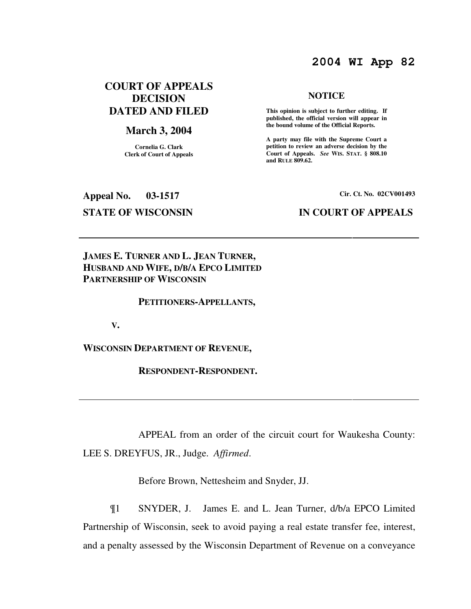## **2004 WI App 82**

## **COURT OF APPEALS DECISION DATED AND FILED**

## **March 3, 2004**

**Cornelia G. Clark Clerk of Court of Appeals**

# **Appeal No. 03-1517 Cir. Ct. No. 02CV001493**

### **NOTICE**

 **This opinion is subject to further editing. If published, the official version will appear in the bound volume of the Official Reports.** 

**A party may file with the Supreme Court a petition to review an adverse decision by the Court of Appeals.** *See* **WIS. STAT. § 808.10 and RULE 809.62.** 

## **STATE OF WISCONSIN IN COURT OF APPEALS**

## **JAMES E. TURNER AND L. JEAN TURNER, HUSBAND AND WIFE, D/B/A EPCO LIMITED PARTNERSHIP OF WISCONSIN**

### **PETITIONERS-APPELLANTS,**

 **V.** 

**WISCONSIN DEPARTMENT OF REVENUE,** 

 **RESPONDENT-RESPONDENT.** 

 APPEAL from an order of the circuit court for Waukesha County: LEE S. DREYFUS, JR., Judge. *Affirmed*.

Before Brown, Nettesheim and Snyder, JJ.

¶1 SNYDER, J. James E. and L. Jean Turner, d/b/a EPCO Limited Partnership of Wisconsin, seek to avoid paying a real estate transfer fee, interest, and a penalty assessed by the Wisconsin Department of Revenue on a conveyance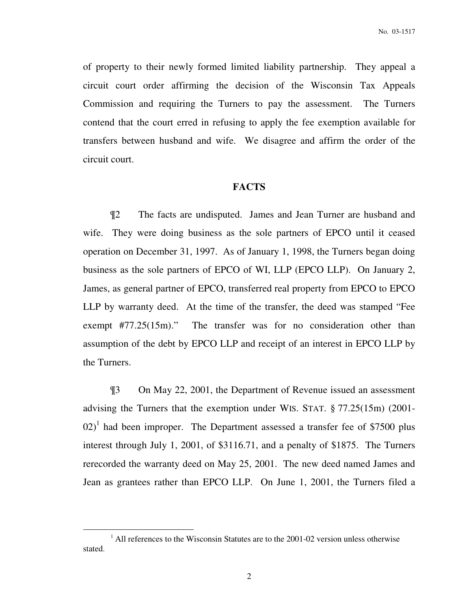of property to their newly formed limited liability partnership. They appeal a circuit court order affirming the decision of the Wisconsin Tax Appeals Commission and requiring the Turners to pay the assessment. The Turners contend that the court erred in refusing to apply the fee exemption available for transfers between husband and wife. We disagree and affirm the order of the circuit court.

### **FACTS**

¶2 The facts are undisputed. James and Jean Turner are husband and wife. They were doing business as the sole partners of EPCO until it ceased operation on December 31, 1997. As of January 1, 1998, the Turners began doing business as the sole partners of EPCO of WI, LLP (EPCO LLP). On January 2, James, as general partner of EPCO, transferred real property from EPCO to EPCO LLP by warranty deed. At the time of the transfer, the deed was stamped "Fee exempt #77.25(15m)." The transfer was for no consideration other than assumption of the debt by EPCO LLP and receipt of an interest in EPCO LLP by the Turners.

¶3 On May 22, 2001, the Department of Revenue issued an assessment advising the Turners that the exemption under WIS. STAT. § 77.25(15m) (2001-  $(02)^1$  had been improper. The Department assessed a transfer fee of \$7500 plus interest through July 1, 2001, of \$3116.71, and a penalty of \$1875. The Turners rerecorded the warranty deed on May 25, 2001. The new deed named James and Jean as grantees rather than EPCO LLP. On June 1, 2001, the Turners filed a

 $\overline{a}$ 

<sup>&</sup>lt;sup>1</sup> All references to the Wisconsin Statutes are to the 2001-02 version unless otherwise stated.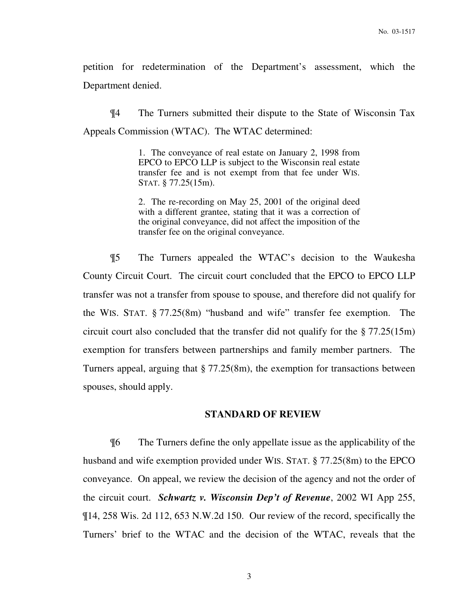petition for redetermination of the Department's assessment, which the Department denied.

¶4 The Turners submitted their dispute to the State of Wisconsin Tax Appeals Commission (WTAC). The WTAC determined:

> 1. The conveyance of real estate on January 2, 1998 from EPCO to EPCO LLP is subject to the Wisconsin real estate transfer fee and is not exempt from that fee under WIS. STAT. § 77.25(15m).

> 2. The re-recording on May 25, 2001 of the original deed with a different grantee, stating that it was a correction of the original conveyance, did not affect the imposition of the transfer fee on the original conveyance.

¶5 The Turners appealed the WTAC's decision to the Waukesha County Circuit Court. The circuit court concluded that the EPCO to EPCO LLP transfer was not a transfer from spouse to spouse, and therefore did not qualify for the WIS. STAT. § 77.25(8m) "husband and wife" transfer fee exemption. The circuit court also concluded that the transfer did not qualify for the § 77.25(15m) exemption for transfers between partnerships and family member partners. The Turners appeal, arguing that § 77.25(8m), the exemption for transactions between spouses, should apply.

## **STANDARD OF REVIEW**

¶6 The Turners define the only appellate issue as the applicability of the husband and wife exemption provided under WIS. STAT. § 77.25(8m) to the EPCO conveyance. On appeal, we review the decision of the agency and not the order of the circuit court. *Schwartz v. Wisconsin Dep't of Revenue*, 2002 WI App 255, ¶14, 258 Wis. 2d 112, 653 N.W.2d 150. Our review of the record, specifically the Turners' brief to the WTAC and the decision of the WTAC, reveals that the

3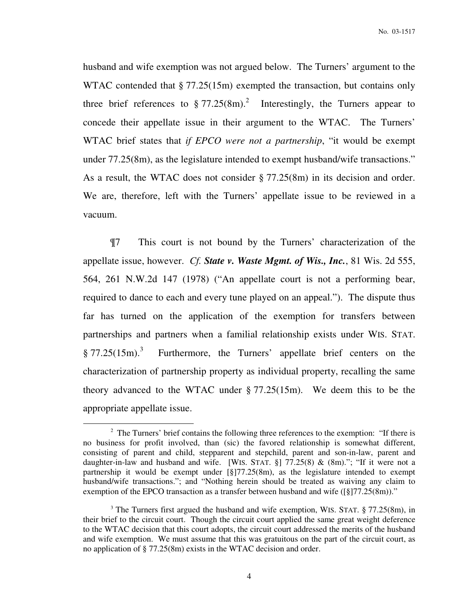husband and wife exemption was not argued below. The Turners' argument to the WTAC contended that § 77.25(15m) exempted the transaction, but contains only three brief references to  $\S 77.25(8m)^2$  Interestingly, the Turners appear to concede their appellate issue in their argument to the WTAC. The Turners' WTAC brief states that *if EPCO were not a partnership*, "it would be exempt under 77.25(8m), as the legislature intended to exempt husband/wife transactions." As a result, the WTAC does not consider § 77.25(8m) in its decision and order. We are, therefore, left with the Turners' appellate issue to be reviewed in a vacuum.

¶7 This court is not bound by the Turners' characterization of the appellate issue, however. *Cf. State v. Waste Mgmt. of Wis., Inc.*, 81 Wis. 2d 555, 564, 261 N.W.2d 147 (1978) ("An appellate court is not a performing bear, required to dance to each and every tune played on an appeal."). The dispute thus far has turned on the application of the exemption for transfers between partnerships and partners when a familial relationship exists under WIS. STAT.  $§ 77.25(15m).$ <sup>3</sup> Furthermore, the Turners' appellate brief centers on the characterization of partnership property as individual property, recalling the same theory advanced to the WTAC under § 77.25(15m). We deem this to be the appropriate appellate issue.

 $\overline{a}$ 

 $2^2$  The Turners' brief contains the following three references to the exemption: "If there is no business for profit involved, than (sic) the favored relationship is somewhat different, consisting of parent and child, stepparent and stepchild, parent and son-in-law, parent and daughter-in-law and husband and wife. [WIS. STAT.  $\S$ ] 77.25(8) & (8m)."; "If it were not a partnership it would be exempt under [§]77.25(8m), as the legislature intended to exempt husband/wife transactions."; and "Nothing herein should be treated as waiving any claim to exemption of the EPCO transaction as a transfer between husband and wife ([§]77.25(8m))."

<sup>&</sup>lt;sup>3</sup> The Turners first argued the husband and wife exemption, WIS. STAT. § 77.25(8m), in their brief to the circuit court. Though the circuit court applied the same great weight deference to the WTAC decision that this court adopts, the circuit court addressed the merits of the husband and wife exemption. We must assume that this was gratuitous on the part of the circuit court, as no application of § 77.25(8m) exists in the WTAC decision and order.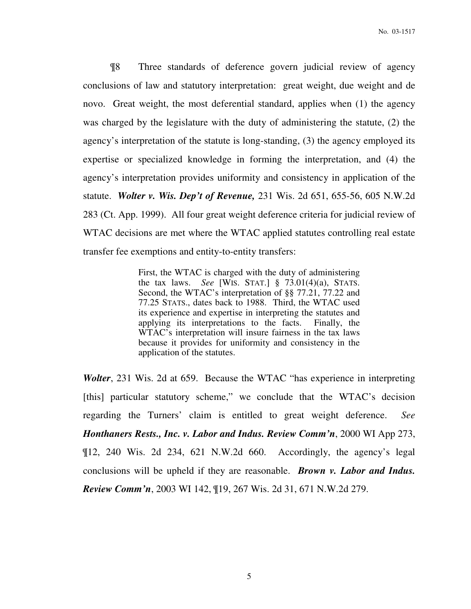¶8 Three standards of deference govern judicial review of agency conclusions of law and statutory interpretation: great weight, due weight and de novo. Great weight, the most deferential standard, applies when (1) the agency was charged by the legislature with the duty of administering the statute, (2) the agency's interpretation of the statute is long-standing, (3) the agency employed its expertise or specialized knowledge in forming the interpretation, and (4) the agency's interpretation provides uniformity and consistency in application of the statute. *Wolter v. Wis. Dep't of Revenue,* 231 Wis. 2d 651, 655-56, 605 N.W.2d 283 (Ct. App. 1999). All four great weight deference criteria for judicial review of WTAC decisions are met where the WTAC applied statutes controlling real estate transfer fee exemptions and entity-to-entity transfers:

> First, the WTAC is charged with the duty of administering the tax laws. *See* [WIS. STAT.] § 73.01(4)(a), STATS. Second, the WTAC's interpretation of §§ 77.21, 77.22 and 77.25 STATS., dates back to 1988. Third, the WTAC used its experience and expertise in interpreting the statutes and applying its interpretations to the facts. Finally, the WTAC's interpretation will insure fairness in the tax laws because it provides for uniformity and consistency in the application of the statutes.

*Wolter*, 231 Wis. 2d at 659. Because the WTAC "has experience in interpreting [this] particular statutory scheme," we conclude that the WTAC's decision regarding the Turners' claim is entitled to great weight deference. *See Honthaners Rests., Inc. v. Labor and Indus. Review Comm'n*, 2000 WI App 273, ¶12, 240 Wis. 2d 234, 621 N.W.2d 660. Accordingly, the agency's legal conclusions will be upheld if they are reasonable. *Brown v. Labor and Indus. Review Comm'n*, 2003 WI 142, ¶19, 267 Wis. 2d 31, 671 N.W.2d 279.

5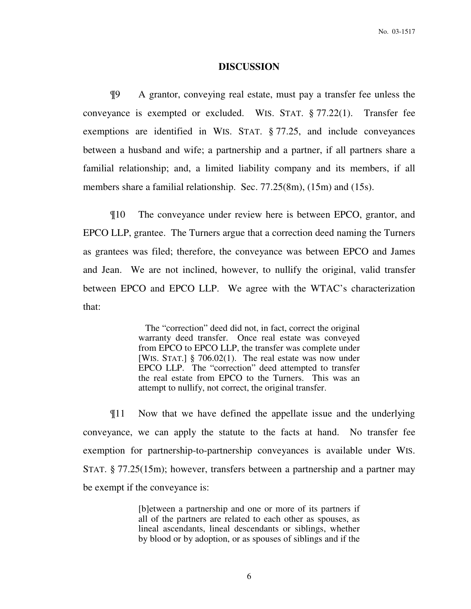### **DISCUSSION**

¶9 A grantor, conveying real estate, must pay a transfer fee unless the conveyance is exempted or excluded. WIS. STAT. § 77.22(1). Transfer fee exemptions are identified in WIS. STAT. § 77.25, and include conveyances between a husband and wife; a partnership and a partner, if all partners share a familial relationship; and, a limited liability company and its members, if all members share a familial relationship. Sec. 77.25(8m), (15m) and (15s).

¶10 The conveyance under review here is between EPCO, grantor, and EPCO LLP, grantee. The Turners argue that a correction deed naming the Turners as grantees was filed; therefore, the conveyance was between EPCO and James and Jean. We are not inclined, however, to nullify the original, valid transfer between EPCO and EPCO LLP. We agree with the WTAC's characterization that:

> The "correction" deed did not, in fact, correct the original warranty deed transfer. Once real estate was conveyed from EPCO to EPCO LLP, the transfer was complete under [WIS. STAT.] § 706.02(1). The real estate was now under EPCO LLP. The "correction" deed attempted to transfer the real estate from EPCO to the Turners. This was an attempt to nullify, not correct, the original transfer.

¶11 Now that we have defined the appellate issue and the underlying conveyance, we can apply the statute to the facts at hand. No transfer fee exemption for partnership-to-partnership conveyances is available under WIS. STAT. § 77.25(15m); however, transfers between a partnership and a partner may be exempt if the conveyance is:

> [b]etween a partnership and one or more of its partners if all of the partners are related to each other as spouses, as lineal ascendants, lineal descendants or siblings, whether by blood or by adoption, or as spouses of siblings and if the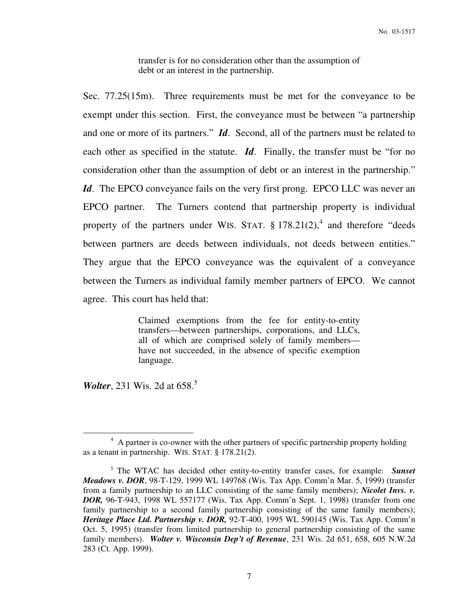transfer is for no consideration other than the assumption of debt or an interest in the partnership.

Sec. 77.25(15m). Three requirements must be met for the conveyance to be exempt under this section. First, the conveyance must be between "a partnership and one or more of its partners." *Id*. Second, all of the partners must be related to each other as specified in the statute. *Id*. Finally, the transfer must be "for no consideration other than the assumption of debt or an interest in the partnership." *Id*. The EPCO conveyance fails on the very first prong. EPCO LLC was never an EPCO partner. The Turners contend that partnership property is individual property of the partners under WIS. STAT.  $\S 178.21(2)$ , and therefore "deeds" between partners are deeds between individuals, not deeds between entities." They argue that the EPCO conveyance was the equivalent of a conveyance between the Turners as individual family member partners of EPCO. We cannot agree. This court has held that:

> Claimed exemptions from the fee for entity-to-entity transfers—between partnerships, corporations, and LLCs, all of which are comprised solely of family members have not succeeded, in the absence of specific exemption language.

*Wolter*, 231 Wis. 2d at 658.<sup>5</sup>

 $\overline{a}$ 

<sup>&</sup>lt;sup>4</sup> A partner is co-owner with the other partners of specific partnership property holding as a tenant in partnership. WIS. STAT. § 178.21(2).

<sup>5</sup> The WTAC has decided other entity-to-entity transfer cases, for example: *Sunset Meadows v. DOR*, 98-T-129, 1999 WL 149768 (Wis. Tax App. Comm'n Mar. 5, 1999) (transfer from a family partnership to an LLC consisting of the same family members); *Nicolet Invs. v. DOR,* 96-T-943, 1998 WL 557177 (Wis. Tax App. Comm'n Sept. 1, 1998) (transfer from one family partnership to a second family partnership consisting of the same family members); *Heritage Place Ltd. Partnership v. DOR,* 92-T-400, 1995 WL 590145 (Wis. Tax App. Comm'n Oct. 5, 1995) (transfer from limited partnership to general partnership consisting of the same family members). *Wolter v. Wisconsin Dep't of Revenue*, 231 Wis. 2d 651, 658, 605 N.W.2d 283 (Ct. App. 1999).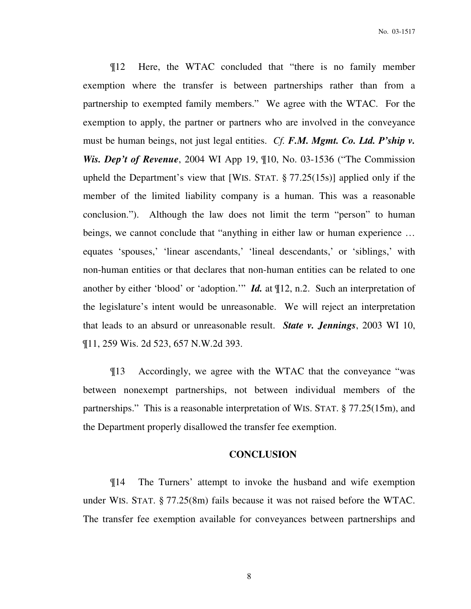¶12 Here, the WTAC concluded that "there is no family member exemption where the transfer is between partnerships rather than from a partnership to exempted family members." We agree with the WTAC. For the exemption to apply, the partner or partners who are involved in the conveyance must be human beings, not just legal entities. *Cf. F.M. Mgmt. Co. Ltd. P'ship v. Wis. Dep't of Revenue*, 2004 WI App 19, ¶10, No. 03-1536 ("The Commission upheld the Department's view that [WIS. STAT. § 77.25(15s)] applied only if the member of the limited liability company is a human. This was a reasonable conclusion."). Although the law does not limit the term "person" to human beings, we cannot conclude that "anything in either law or human experience … equates 'spouses,' 'linear ascendants,' 'lineal descendants,' or 'siblings,' with non-human entities or that declares that non-human entities can be related to one another by either 'blood' or 'adoption.'" *Id.* at ¶12, n.2. Such an interpretation of the legislature's intent would be unreasonable. We will reject an interpretation that leads to an absurd or unreasonable result. *State v. Jennings*, 2003 WI 10, ¶11, 259 Wis. 2d 523, 657 N.W.2d 393.

¶13 Accordingly, we agree with the WTAC that the conveyance "was between nonexempt partnerships, not between individual members of the partnerships." This is a reasonable interpretation of WIS. STAT. § 77.25(15m), and the Department properly disallowed the transfer fee exemption.

## **CONCLUSION**

¶14 The Turners' attempt to invoke the husband and wife exemption under WIS. STAT. § 77.25(8m) fails because it was not raised before the WTAC. The transfer fee exemption available for conveyances between partnerships and

8